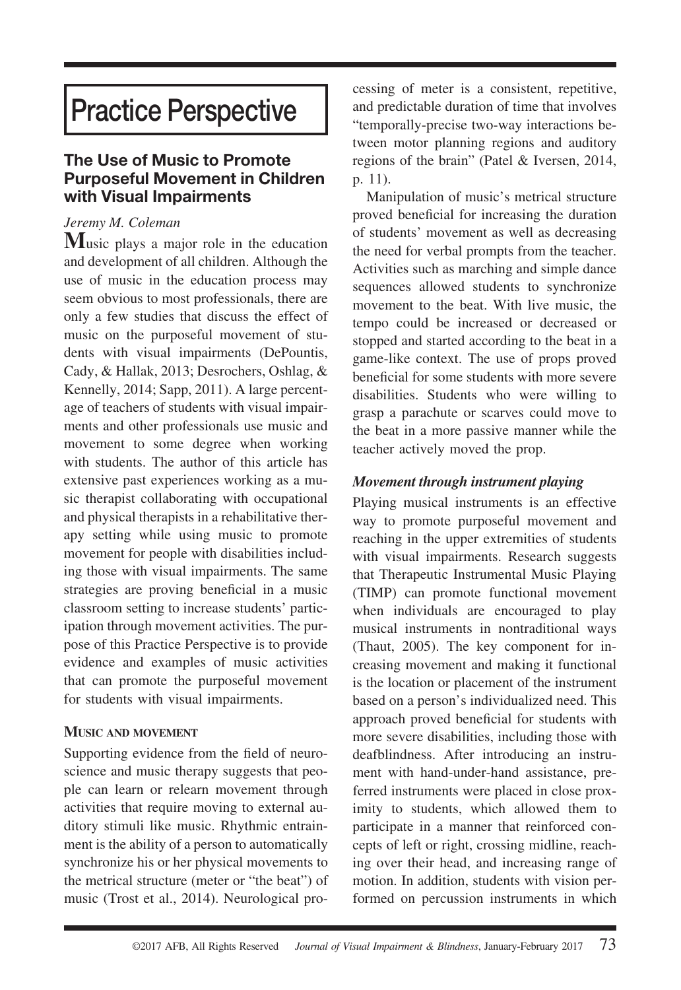## **Practice Perspective**

## **The Use of Music to Promote Purposeful Movement in Children with Visual Impairments**

## *Jeremy M. Coleman*

**M**usic plays <sup>a</sup> major role in the education and development of all children. Although the use of music in the education process may seem obvious to most professionals, there are only a few studies that discuss the effect of music on the purposeful movement of students with visual impairments (DePountis, Cady, & Hallak, 2013; Desrochers, Oshlag, & Kennelly, 2014; Sapp, 2011). A large percentage of teachers of students with visual impairments and other professionals use music and movement to some degree when working with students. The author of this article has extensive past experiences working as a music therapist collaborating with occupational and physical therapists in a rehabilitative therapy setting while using music to promote movement for people with disabilities including those with visual impairments. The same strategies are proving beneficial in a music classroom setting to increase students' participation through movement activities. The purpose of this Practice Perspective is to provide evidence and examples of music activities that can promote the purposeful movement for students with visual impairments.

## **MUSIC AND MOVEMENT**

Supporting evidence from the field of neuroscience and music therapy suggests that people can learn or relearn movement through activities that require moving to external auditory stimuli like music. Rhythmic entrainment is the ability of a person to automatically synchronize his or her physical movements to the metrical structure (meter or "the beat") of music (Trost et al., 2014). Neurological processing of meter is a consistent, repetitive, and predictable duration of time that involves "temporally-precise two-way interactions between motor planning regions and auditory regions of the brain" (Patel & Iversen, 2014, p. 11).

Manipulation of music's metrical structure proved beneficial for increasing the duration of students' movement as well as decreasing the need for verbal prompts from the teacher. Activities such as marching and simple dance sequences allowed students to synchronize movement to the beat. With live music, the tempo could be increased or decreased or stopped and started according to the beat in a game-like context. The use of props proved beneficial for some students with more severe disabilities. Students who were willing to grasp a parachute or scarves could move to the beat in a more passive manner while the teacher actively moved the prop.

## *Movement through instrument playing*

Playing musical instruments is an effective way to promote purposeful movement and reaching in the upper extremities of students with visual impairments. Research suggests that Therapeutic Instrumental Music Playing (TIMP) can promote functional movement when individuals are encouraged to play musical instruments in nontraditional ways (Thaut, 2005). The key component for increasing movement and making it functional is the location or placement of the instrument based on a person's individualized need. This approach proved beneficial for students with more severe disabilities, including those with deafblindness. After introducing an instrument with hand-under-hand assistance, preferred instruments were placed in close proximity to students, which allowed them to participate in a manner that reinforced concepts of left or right, crossing midline, reaching over their head, and increasing range of motion. In addition, students with vision performed on percussion instruments in which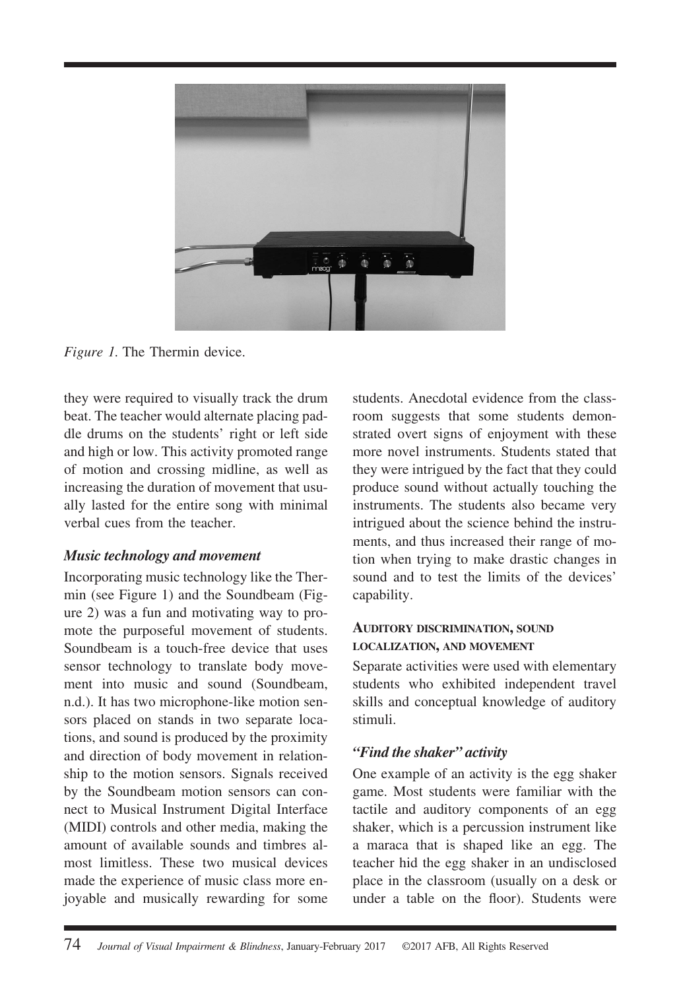

*Figure 1.* The Thermin device.

they were required to visually track the drum beat. The teacher would alternate placing paddle drums on the students' right or left side and high or low. This activity promoted range of motion and crossing midline, as well as increasing the duration of movement that usually lasted for the entire song with minimal verbal cues from the teacher.

#### *Music technology and movement*

Incorporating music technology like the Thermin (see Figure 1) and the Soundbeam (Figure 2) was a fun and motivating way to promote the purposeful movement of students. Soundbeam is a touch-free device that uses sensor technology to translate body movement into music and sound (Soundbeam, n.d.). It has two microphone-like motion sensors placed on stands in two separate locations, and sound is produced by the proximity and direction of body movement in relationship to the motion sensors. Signals received by the Soundbeam motion sensors can connect to Musical Instrument Digital Interface (MIDI) controls and other media, making the amount of available sounds and timbres almost limitless. These two musical devices made the experience of music class more enjoyable and musically rewarding for some

students. Anecdotal evidence from the classroom suggests that some students demonstrated overt signs of enjoyment with these more novel instruments. Students stated that they were intrigued by the fact that they could produce sound without actually touching the instruments. The students also became very intrigued about the science behind the instruments, and thus increased their range of motion when trying to make drastic changes in sound and to test the limits of the devices' capability.

#### **AUDITORY DISCRIMINATION, SOUND LOCALIZATION, AND MOVEMENT**

Separate activities were used with elementary students who exhibited independent travel skills and conceptual knowledge of auditory stimuli.

## *"Find the shaker" activity*

One example of an activity is the egg shaker game. Most students were familiar with the tactile and auditory components of an egg shaker, which is a percussion instrument like a maraca that is shaped like an egg. The teacher hid the egg shaker in an undisclosed place in the classroom (usually on a desk or under a table on the floor). Students were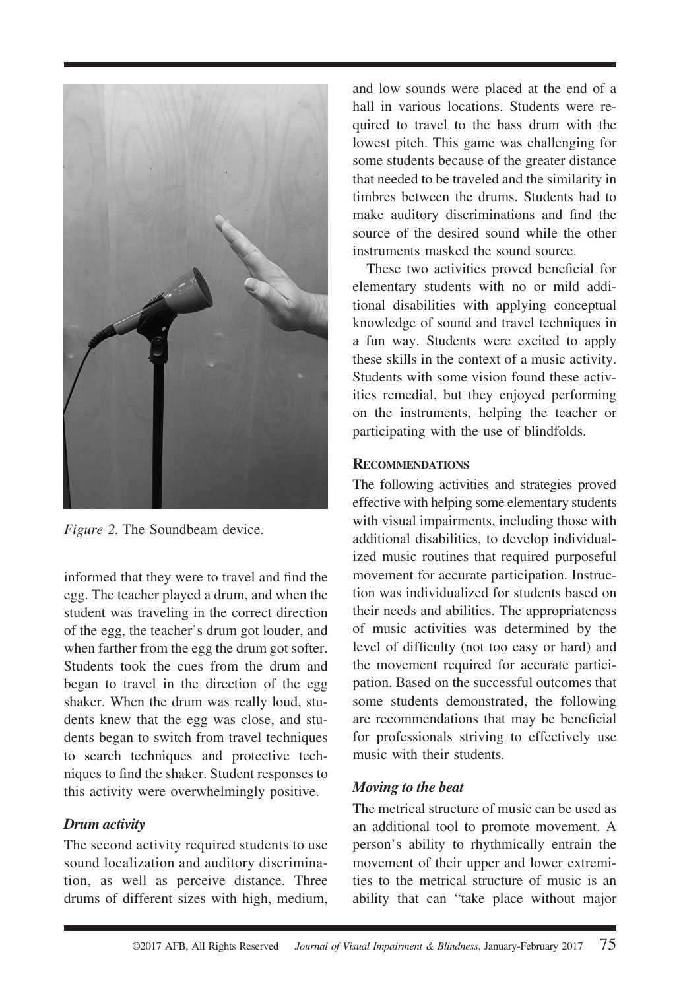

*Figure 2.* The Soundbeam device.

informed that they were to travel and find the egg. The teacher played a drum, and when the student was traveling in the correct direction of the egg, the teacher's drum got louder, and when farther from the egg the drum got softer. Students took the cues from the drum and began to travel in the direction of the egg shaker. When the drum was really loud, students knew that the egg was close, and students began to switch from travel techniques to search techniques and protective techniques to find the shaker. Student responses to this activity were overwhelmingly positive.

#### *Drum activity*

The second activity required students to use sound localization and auditory discrimination, as well as perceive distance. Three drums of different sizes with high, medium, and low sounds were placed at the end of a hall in various locations. Students were required to travel to the bass drum with the lowest pitch. This game was challenging for some students because of the greater distance that needed to be traveled and the similarity in timbres between the drums. Students had to make auditory discriminations and find the source of the desired sound while the other instruments masked the sound source.

These two activities proved beneficial for elementary students with no or mild additional disabilities with applying conceptual knowledge of sound and travel techniques in a fun way. Students were excited to apply these skills in the context of a music activity. Students with some vision found these activities remedial, but they enjoyed performing on the instruments, helping the teacher or participating with the use of blindfolds.

#### **RECOMMENDATIONS**

The following activities and strategies proved effective with helping some elementary students with visual impairments, including those with additional disabilities, to develop individualized music routines that required purposeful movement for accurate participation. Instruction was individualized for students based on their needs and abilities. The appropriateness of music activities was determined by the level of difficulty (not too easy or hard) and the movement required for accurate participation. Based on the successful outcomes that some students demonstrated, the following are recommendations that may be beneficial for professionals striving to effectively use music with their students.

#### *Moving to the beat*

The metrical structure of music can be used as an additional tool to promote movement. A person's ability to rhythmically entrain the movement of their upper and lower extremities to the metrical structure of music is an ability that can "take place without major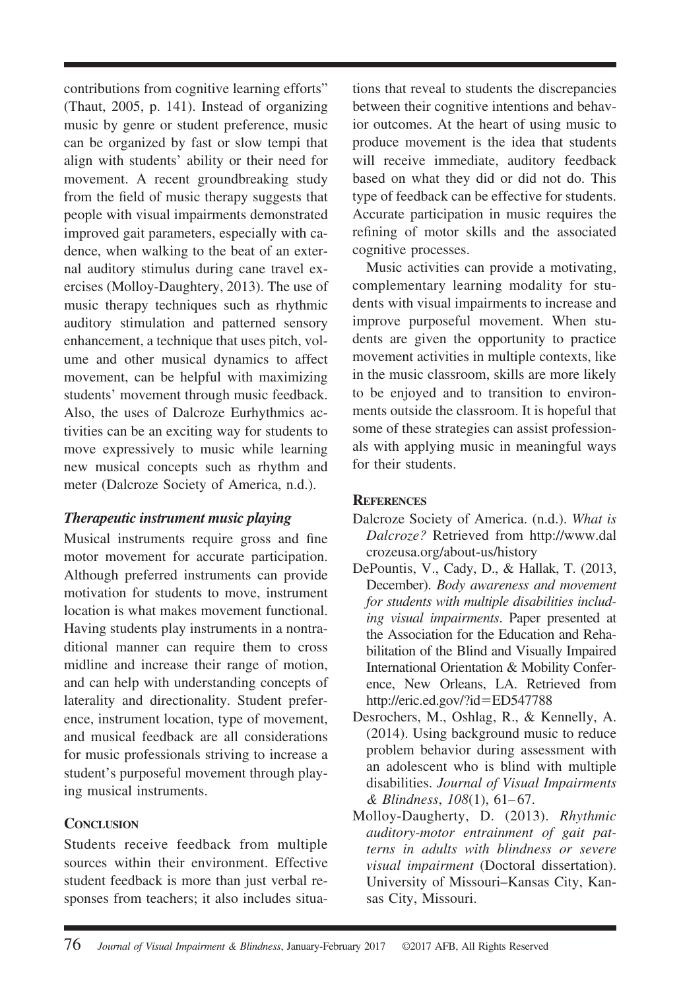contributions from cognitive learning efforts" (Thaut, 2005, p. 141). Instead of organizing music by genre or student preference, music can be organized by fast or slow tempi that align with students' ability or their need for movement. A recent groundbreaking study from the field of music therapy suggests that people with visual impairments demonstrated improved gait parameters, especially with cadence, when walking to the beat of an external auditory stimulus during cane travel exercises (Molloy-Daughtery, 2013). The use of music therapy techniques such as rhythmic auditory stimulation and patterned sensory enhancement, a technique that uses pitch, volume and other musical dynamics to affect movement, can be helpful with maximizing students' movement through music feedback. Also, the uses of Dalcroze Eurhythmics activities can be an exciting way for students to move expressively to music while learning new musical concepts such as rhythm and meter (Dalcroze Society of America, n.d.).

## *Therapeutic instrument music playing*

Musical instruments require gross and fine motor movement for accurate participation. Although preferred instruments can provide motivation for students to move, instrument location is what makes movement functional. Having students play instruments in a nontraditional manner can require them to cross midline and increase their range of motion, and can help with understanding concepts of laterality and directionality. Student preference, instrument location, type of movement, and musical feedback are all considerations for music professionals striving to increase a student's purposeful movement through playing musical instruments.

## **CONCLUSION**

Students receive feedback from multiple sources within their environment. Effective student feedback is more than just verbal responses from teachers; it also includes situations that reveal to students the discrepancies between their cognitive intentions and behavior outcomes. At the heart of using music to produce movement is the idea that students will receive immediate, auditory feedback based on what they did or did not do. This type of feedback can be effective for students. Accurate participation in music requires the refining of motor skills and the associated cognitive processes.

Music activities can provide a motivating, complementary learning modality for students with visual impairments to increase and improve purposeful movement. When students are given the opportunity to practice movement activities in multiple contexts, like in the music classroom, skills are more likely to be enjoyed and to transition to environments outside the classroom. It is hopeful that some of these strategies can assist professionals with applying music in meaningful ways for their students.

## **REFERENCES**

- Dalcroze Society of America. (n.d.). *What is Dalcroze?* Retrieved from [http://www.dal](http://www.dalcrozeusa.org/about-us/history) [crozeusa.org/about-us/history](http://www.dalcrozeusa.org/about-us/history)
- DePountis, V., Cady, D., & Hallak, T. (2013, December). *Body awareness and movement for students with multiple disabilities including visual impairments*. Paper presented at the Association for the Education and Rehabilitation of the Blind and Visually Impaired International Orientation & Mobility Conference, New Orleans, LA. Retrieved from http://eric.ed.gov/?id=ED547788
- Desrochers, M., Oshlag, R., & Kennelly, A. (2014). Using background music to reduce problem behavior during assessment with an adolescent who is blind with multiple disabilities. *Journal of Visual Impairments & Blindness*, *108*(1), 61– 67.
- Molloy-Daugherty, D. (2013). *Rhythmic auditory-motor entrainment of gait patterns in adults with blindness or severe visual impairment* (Doctoral dissertation). University of Missouri–Kansas City, Kansas City, Missouri.